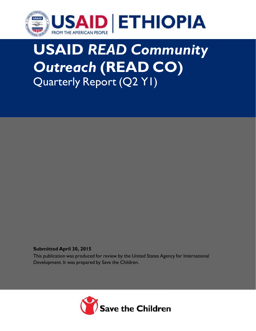

# **USAID** *READ Community Outreach* **(READ CO)** Quarterly Report (Q2 Y1)

**Submitted April 30, 2015**

This publication was produced for review by the United States Agency for International Development. It was prepared by Save the Children.

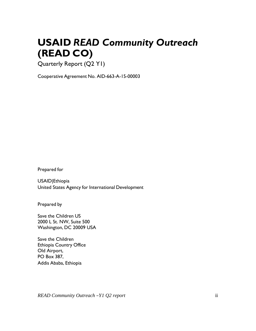## **USAID** *READ Community Outreach* **(READ CO)**

Quarterly Report (Q2 Y1)

Cooperative Agreement No. AID-663-A-15-00003

Prepared for

USAID|Ethiopia United States Agency for International Development

Prepared by

Save the Children US 2000 L St. NW, Suite 500 Washington, DC 20009 USA

Save the Children Ethiopia Country Office Old Airport, PO Box 387, Addis Ababa, Ethiopia

*READ Community Outreach* –*Y1 Q2 report* ii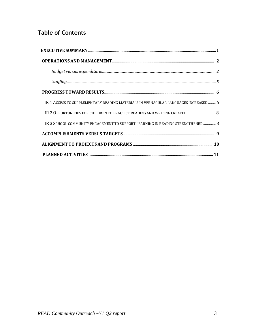### **Table of Contents**

| IR 1 ACCESS TO SUPPLEMENTARY READING MATERIALS IN VERNACULAR LANGUAGES INCREASED  6 |
|-------------------------------------------------------------------------------------|
| IR 2 OPPORTUNITIES FOR CHILDREN TO PRACTICE READING AND WRITING CREATED  8          |
| IR 3 SCHOOL COMMUNITY ENGAGEMENT TO SUPPORT LEARNING IN READING STRENGTHENED  8     |
|                                                                                     |
|                                                                                     |
|                                                                                     |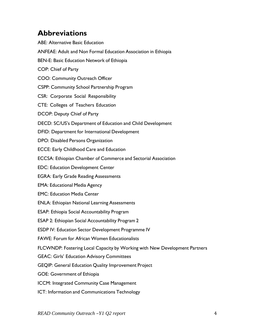### **Abbreviations**

ABE: Alternative Basic Education ANFEAE: Adult and Non Formal Education Association in Ethiopia BEN-E: Basic Education Network of Ethiopia COP: Chief of Party COO: Community Outreach Officer CSPP: Community School Partnership Program CSR: Corporate Social Responsibility CTE: Colleges of Teachers Education DCOP: Deputy Chief of Party DECD: SC/US's Department of Education and Child Development DFID: Department for International Development DPO: Disabled Persons Organization ECCE: Early Childhood Care and Education ECCSA: Ethiopian Chamber of Commerce and Sectorial Association EDC: Education Development Center EGRA: Early Grade Reading Assessments EMA: Educational Media Agency EMC: Education Media Center ENLA: Ethiopian National Learning Assessments ESAP: Ethiopia Social Accountability Program ESAP 2: Ethiopian Social Accountability Program 2 ESDP IV: Education Sector Development Programme IV FAWE: Forum for African Women Educationalists FLCWNDP: Fostering Local Capacity by Working with New Development Partners GEAC: Girls' Education Advisory Committees GEQIP: General Education Quality Improvement Project GOE: Government of Ethiopia ICCM: Integrated Community Case Management ICT: Information and Communications Technology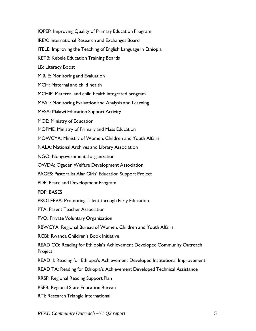IQPEP: Improving Quality of Primary Education Program

IREX: International Research and Exchanges Board

ITELE: Improving the Teaching of English Language in Ethiopia

KETB: Kebele Education Training Boards

LB: Literacy Boost

M & E: Monitoring and Evaluation

MCH: Maternal and child health

MCHIP: Maternal and child health integrated program

MEAL: Monitoring Evaluation and Analysis and Learning

MESA: Malawi Education Support Activity

MOE: Ministry of Education

MOPME: Ministry of Primary and Mass Education

MOWCYA: Ministry of Women, Children and Youth Affairs

NALA: National Archives and Library Association

NGO: Nongovernmental organization

OWDA: Ogaden Welfare Development Association

PAGES: Pastoralist Afar Girls' Education Support Project

PDP: Peace and Development Program

PDP: BASES

PROTEEVA: Promoting Talent through Early Education

PTA: Parent Teacher Association

PVO: Private Voluntary Organization

RBWCYA: Regional Bureau of Women, Children and Youth Affairs

RCBI: Rwanda Children's Book Initiative

READ CO: Reading for Ethiopia's Achievement Developed Community Outreach Project

READ II: Reading for Ethiopia's Achievement Developed Institutional Improvement

READ TA: Reading for Ethiopia's Achievement Developed Technical Assistance

RRSP: Regional Reading Support Plan

RSEB: Regional State Education Bureau

RTI: Research Triangle International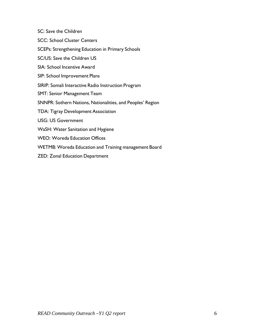SC: Save the Children SCC: School Cluster Centers SCEPs: Strengthening Education in Primary Schools SC/US: Save the Children US SIA: School Incentive Award SIP: School Improvement Plans SIRIP: Somali Interactive Radio Instruction Program SMT: Senior Management Team SNNPR: Sothern Nations, Nationalities, and Peoples' Region TDA: Tigray Development Association USG: US Government WaSH: Water Sanitation and Hygiene WEO: Woreda Education Offices WETMB: Woreda Education and Training management Board ZED: Zonal Education Department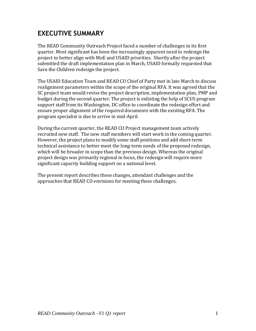### **EXECUTIVE SUMMARY**

The READ Community Outreach Project faced a number of challenges in its first quarter. Most significant has been the increasingly apparent need to redesign the project to better align with MoE and USAID priorities. Shortly after the project submitted the draft implementation plan in March, USAID formally requested that Save the Children redesign the project.

The USAID Education Team and READ CO Chief of Party met in late March to discuss realignment parameters within the scope of the original RFA. It was agreed that the SC project team would revise the project description, implementation plan, PMP and budget during the second quarter. The project is enlisting the help of SCUS program support staff from its Washington, DC office to coordinate the redesign effort and ensure proper alignment of the required documents with the existing RFA. The program specialist is due to arrive in mid‐April.

During the current quarter, the READ CO Project management team actively recruited new staff. The new staff members will start work in the coming quarter. However, the project plans to modify some staff positions and add short‐term technical assistance to better meet the long‐term needs of the proposed redesign, which will be broader in scope than the previous design. Whereas the original project design was primarily regional in focus, the redesign will require more significant capacity building support on a national level.

The present report describes these changes, attendant challenges and the approaches that READ CO envisions for meeting these challenges.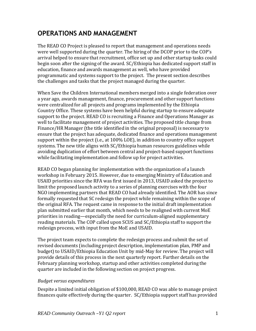### **OPERATIONS AND MANAGEMENT**

The READ CO Project is pleased to report that management and operations needs were well supported during the quarter. The hiring of the DCOP prior to the COP's arrival helped to ensure that recruitment, office set up and other startup tasks could begin soon after the signing of the award. SC/Ethiopia has dedicated support staff in education, finance and awards management as well, who have provided programmatic and systems support to the project. The present section describes the challenges and tasks that the project managed during the quarter.

When Save the Children International members merged into a single federation over a year ago, awards management, finance, procurement and other support functions were centralized for all projects and programs implemented by the Ethiopia Country Office. These systems have been helpful during startup to ensure adequate support to the project. READ CO is recruiting a Finance and Operations Manager as well to facilitate management of project activities. The proposed title change from Finance/HR Manager (the title identified in the original proposal) is necessary to ensure that the project has adequate, dedicated finance and operations management support within the project (i.e., at 100% LOE), in addition to country office support systems. The new title aligns with SC/Ethiopia human resources guidelines while avoiding duplication of effort between central and project‐based support functions while facilitating implementation and follow up for project activities.

READ CO began planning for implementation with the organization of a launch workshop in February 2015. However, due to emerging Ministry of Education and USAID priorities since the RFA was first issued in 2013, USAID asked the project to limit the proposed launch activity to a series of planning exercises with the four NGO implementing partners that READ CO had already identified. The AOR has since formally requested that SC redesign the project while remaining within the scope of the original RFA. The request came in response to the initial draft implementation plan submitted earlier that month, which needs to be realigned with current MoE priorities in reading—especially the need for curriculum‐aligned supplementary reading materials. The COP called upon SCUS and SC/Ethiopia staff to support the redesign process, with input from the MoE and USAID.

The project team expects to complete the redesign process and submit the set of revised documents (including project description, implementation plan, PMP and budget) to USAID/Ethiopia Education Unit by mid‐May for review. The project will provide details of this process in the next quarterly report. Further details on the February planning workshop, startup and other activities completed during the quarter are included in the following section on project progress.

#### *Budget versus expenditures*

Despite a limited initial obligation of \$100,000, READ CO was able to manage project finances quite effectively during the quarter. SC/Ethiopia support staff has provided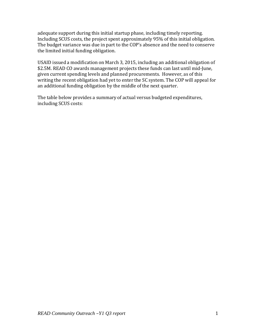adequate support during this initial startup phase, including timely reporting. Including SCUS costs, the project spent approximately 95% of this initial obligation. The budget variance was due in part to the COP's absence and the need to conserve the limited initial funding obligation.

USAID issued a modification on March 3, 2015, including an additional obligation of \$2.5M. READ CO awards management projects these funds can last until mid-June, given current spending levels and planned procurements. However, as of this writing the recent obligation had yet to enter the SC system. The COP will appeal for an additional funding obligation by the middle of the next quarter.

The table below provides a summary of actual versus budgeted expenditures, including SCUS costs: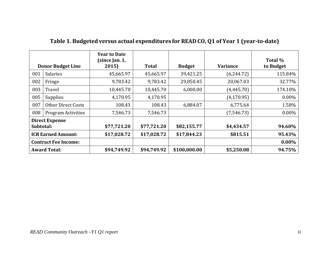| <b>Donor Budget Line</b>           |                             | <b>Year to Date</b><br>(since Jan. 1,<br>2015) | <b>Total</b> | <b>Budget</b> | <b>Variance</b> | Total %<br>to Budget |
|------------------------------------|-----------------------------|------------------------------------------------|--------------|---------------|-----------------|----------------------|
| 001                                | <b>Salaries</b>             | 45,665.97                                      | 45,665.97    | 39,421.25     | (6,244.72)      | 115.84%              |
| 002                                | Fringe                      | 9,783.42                                       | 9,783.42     | 29,850.45     | 20,067.03       | 32.77%               |
| 003                                | Travel                      | 10,445.70                                      | 10,445.70    | 6,000.00      | (4, 445.70)     | 174.10%              |
| 005                                | <b>Supplies</b>             | 4,170.95                                       | 4,170.95     |               | (4, 170.95)     | $0.00\%$             |
| 007                                | <b>Other Direct Costs</b>   | 108.43                                         | 108.43       | 6,884.07      | 6,775.64        | 1.58%                |
| 008                                | Program Activities          | 7,546.73                                       | 7,546.73     |               | (7, 546.73)     | $0.00\%$             |
| <b>Direct Expense</b><br>Subtotal: |                             | \$77,721.20                                    | \$77,721.20  | \$82,155.77   | \$4,434.57      | 94.60%               |
|                                    | <b>ICR Earned Amount:</b>   | \$17,028.72                                    | \$17,028.72  | \$17,844.23   | \$815.51        | 95.43%               |
|                                    | <b>Contract Fee Income:</b> |                                                |              |               |                 | $0.00\%$             |
|                                    | <b>Award Total:</b>         | \$94,749.92                                    | \$94,749.92  | \$100,000.00  | \$5,250.08      | 94.75%               |

### **Table 1. Budgeted versus actual expenditures for READ CO, Q1 of Year 1 (year‐to‐date)**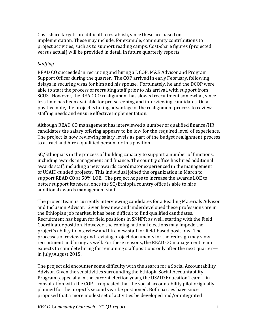Cost‐share targets are difficult to establish, since these are based on implementation. These may include, for example, community contributions to project activities, such as to support reading camps. Cost‐share figures (projected versus actual) will be provided in detail in future quarterly reports.

#### *Staffing*

READ CO succeeded in recruiting and hiring a DCOP, M&E Advisor and Program Support Officer during the quarter. The COP arrived in early February, following delays in securing visas for him and his spouse. Fortunately, he and the DCOP were able to start the process of recruiting staff prior to his arrival, with support from SCUS. However, the READ CO realignment has slowed recruitment somewhat, since less time has been available for pre‐screening and interviewing candidates. On a positive note, the project is taking advantage of the realignment process to review staffing needs and ensure effective implementation.

Although READ CO management has interviewed a number of qualified finance/HR candidates the salary offering appears to be low for the required level of experience. The project is now reviewing salary levels as part of the budget realignment process to attract and hire a qualified person for this position.

SC/Ethiopia is in the process of building capacity to support a number of functions, including awards management and finance. The country office has hired additional awards staff, including a new awards coordinator experienced in the management of USAID‐funded projects. This individual joined the organization in March to support READ CO at 50% LOE. The project hopes to increase the awards LOE to better support its needs, once the SC/Ethiopia country office is able to hire additional awards management staff.

The project team is currently interviewing candidates for a Reading Materials Advisor and Inclusion Advisor. Given how new and underdeveloped these professions are in the Ethiopian job market, it has been difficult to find qualified candidates. Recruitment has begun for field positions in SNNPR as well, starting with the Field Coordinator position. However, the coming national elections may impede the project's ability to interview and hire new staff for field‐based positions. The processes of reviewing and revising project documents for the redesign may slow recruitment and hiring as well. For these reasons, the READ CO management team expects to complete hiring for remaining staff positions only after the next quarter in July/August 2015.

The project did encounter some difficulty with the search for a Social Accountability Advisor. Given the sensitivities surrounding the Ethiopia Social Accountability Program (especially in the current election year), the USAID Education Team—in consultation with the COP—requested that the social accountability pilot originally planned for the project's second year be postponed. Both parties have since proposed that a more modest set of activities be developed and/or integrated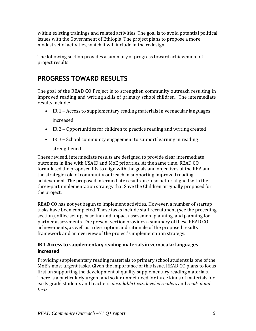within existing trainings and related activities. The goal is to avoid potential political issues with the Government of Ethiopia. The project plans to propose a more modest set of activities, which it will include in the redesign.

The following section provides a summary of progress toward achievement of project results.

### **PROGRESS TOWARD RESULTS**

The goal of the READ CO Project is to strengthen community outreach resulting in improved reading and writing skills of primary school children. The intermediate results include:

- IR 1 Access to supplementary reading materials in vernacular languages increased
- IR  $2$  Opportunities for children to practice reading and writing created
- IR 3 School community engagement to support learning in reading

#### strengthened

These revised, intermediate results are designed to provide clear intermediate outcomes in line with USAID and MoE priorities. At the same time, READ CO formulated the proposed IRs to align with the goals and objectives of the RFA and the strategic role of community outreach in supporting improved reading achievement. The proposed intermediate results are also better aligned with the three‐part implementation strategy that Save the Children originally proposed for the project.

READ CO has not yet begun to implement activities. However, a number of startup tasks have been completed. These tasks include staff recruitment (see the preceding section), office set up, baseline and impact assessment planning, and planning for partner assessments. The present section provides a summary of these READ CO achievements, as well as a description and rationale of the proposed results framework and an overview of the project's implementation strategy.

#### **IR 1 Access to supplementary reading materialsin vernacular languages increased**

Providing supplementary reading materials to primary school students is one of the MoE's most urgent tasks. Given the importance of this issue, READ CO plans to focus first on supporting the development of quality supplementary reading materials. There is a particularly urgent and so far unmet need for three kinds of materials for early grade students and teachers: *decodable texts*, *leveled readers* and *read‐aloud texts*.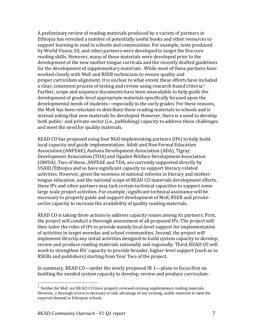A preliminary review of reading materials produced by a variety of partners in Ethiopia has revealed a number of potentially useful books and other resources to support learning to read in schools and communities. For example, texts produced by World Vision, SIL and other partners were developed to target the five core reading skills. However, many of these materials were developed prior to the development of the new mother tongue curricula and the recently drafted guidelines for the development of supplementary materials. While most of these partners have worked closely with MoE and RSEB technicians to ensure quality and proper curriculum alignment, it is unclear to what extent these efforts have included a clear, consistent process of testing and review using research-based criteria.<sup>1</sup> Further, scope and sequence documents have been unavailable to help guide the development of grade‐level appropriate materials specifically focused upon the developmental needs of students—especially in the early grades. For these reasons, the MoE has been reluctant to distribute these reading materials to schools and is instead asking that new materials be developed. However, there is a need to develop both public- and private-sector (i.e., publishing) capacity to address these challenges and meet the need for quality materials.

READ CO has proposed using four NGO implementing partners (IPs) to help build local capacity and guide implementation: Adult and Non Formal Education Association (ANFEAE), Amhara Development Association (ADA), Tigray Development Association (TDA) and Ogaden Welfare Development Association (OWDA). Two of these, ANFEAE and TDA, are currently supported directly by USAID/Ethiopia and so have significant capacity to support literacy‐related activities. However, given the newness of national reforms in literacy and mother‐ tongue education, and the national scope of READ CO materials development efforts, these IPs and other partners may lack certain technical capacities to support some large scale project activities. For example, significant technical assistance will be necessary to properly guide and support development of MoE, RSEB and private‐ sector capacity to increase the availability of quality reading materials.

READ CO is taking three actions to address capacity issues among its partners. First, the project will conduct a thorough assessment of all proposed IPs. The project will then tailor the roles of IPs to provide mainly local‐level support for implementation of activities in target woredas and school communities. Second, the project will implement directly any initial activities designed to build system capacity to develop, review and produce reading materials nationally and regionally. Third, READ CO will work to strengthen IPs' capacity to provide broader, higher‐level support (such as to RSEBs and publishers) starting from Year Two of the project.

In summary, READ CO—under the newly proposed IR 1—plans to focus first on building the needed system capacity to develop, review and produce curriculum‐

<sup>&</sup>lt;sup>1</sup> Neither the MoE nor READ CO have properly reviewed existing supplementary reading materials. However, a thorough review is necessary to take advantage of any existing, usable materials to meet the expected demand in Ethiopian schools.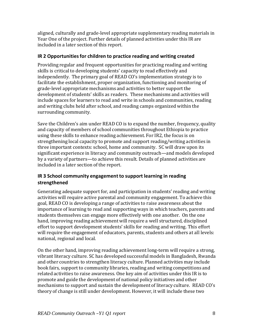aligned, culturally and grade‐level appropriate supplementary reading materials in Year One of the project. Further details of planned activities under this IR are included in a later section of this report.

#### **IR 2 Opportunitiesfor children to practice reading and writing created**

Providing regular and frequent opportunities for practicing reading and writing skills is critical to developing students' capacity to read effectively and independently. The primary goal of READ CO's implementation strategy is to facilitate the establishment, proper organization, functioning and monitoring of grade‐level appropriate mechanisms and activities to better support the development of students' skills as readers. These mechanisms and activities will include spaces for learners to read and write in schools and communities, reading and writing clubs held after school, and reading camps organized within the surrounding community.

Save the Children's aim under READ CO is to expand the number, frequency, quality and capacity of members of school communities throughout Ethiopia to practice using these skills to enhance reading achievement. For IR2, the focus is on strengthening local capacity to promote and support reading/writing activities in three important contexts: school, home and community. SC will draw upon its significant experience in literacy and community outreach—and models developed by a variety of partners—to achieve this result. Details of planned activities are included in a later section of the report.

### **IR 3** School community engagement to support learning in reading **strengthened**

Generating adequate support for, and participation in students' reading and writing activities will require active parental and community engagement. To achieve this goal, READ CO is developing a range of activities to raise awareness about the importance of learning to read and supporting ways in which teachers, parents and students themselves can engage more effectively with one another. On the one hand, improving reading achievement will require a well structured, disciplined effort to support development students' skills for reading and writing. This effort will require the engagement of educators, parents, students and others at all levels: national, regional and local.

On the other hand, improving reading achievement long‐term will require a strong, vibrant literacy culture. SC has developed successful models in Bangladesh, Rwanda and other countries to strengthen literacy culture. Planned activities may include book fairs, support to community libraries, reading and writing competitions and related activities to raise awareness. One key aim of activities under this IR is to promote and guide the development of national policy initiatives and other mechanisms to support and sustain the development of literacy culture. READ CO's theory of change is still under development. However, it will include these two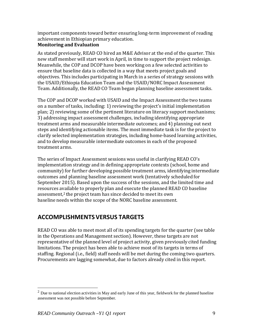important components toward better ensuring long‐term improvement of reading achievement in Ethiopian primary education.

#### **Monitoring and Evaluation**

As stated previously, READ CO hired an M&E Advisor at the end of the quarter. This new staff member will start work in April, in time to support the project redesign. Meanwhile, the COP and DCOP have been working on a few selected activities to ensure that baseline data is collected in a way that meets project goals and objectives. This includes participating in March in a series of strategy sessions with the USAID/Ethiopia Education Team and the USAID/NORC Impact Assessment Team. Additionally, the READ CO Team began planning baseline assessment tasks.

The COP and DCOP worked with USAID and the Impact Assessment the two teams on a number of tasks, including: 1) reviewing the project's initial implementation plan; 2) reviewing some of the pertinent literature on literacy support mechanisms; 3) addressing impact assessment challenges, including identifying appropriate treatment arms and measurable intermediate outcomes; and 4) planning out next steps and identifying actionable items. The most immediate task is for the project to clarify selected implementation strategies, including home‐based learning activities, and to develop measurable intermediate outcomes in each of the proposed treatment arms.

The series of Impact Assessment sessions was useful in clarifying READ CO's implementation strategy and in defining appropriate contexts (school, home and community) for further developing possible treatment arms, identifying intermediate outcomes and planning baseline assessment work (tentatively scheduled for September 2015). Based upon the success of the sessions, and the limited time and resources available to properly plan and execute the planned READ CO baseline assessment, <sup>2</sup> the project team has since decided to meet its own baseline needs within the scope of the NORC baseline assessment.

### **ACCOMPLISHMENTSVERSUS TARGETS**

READ CO was able to meet most all of its spending targets for the quarter (see table in the Operations and Management section). However, these targets are not representative of the planned level of project activity, given previously cited funding limitations. The project has been able to achieve most of its targets in terms of staffing. Regional (i.e., field) staff needs will be met during the coming two quarters. Procurements are lagging somewhat, due to factors already cited in this report.

<sup>&</sup>lt;sup>2</sup> Due to national election activities in May and early June of this year, fieldwork for the planned baseline assessment was not possible before September.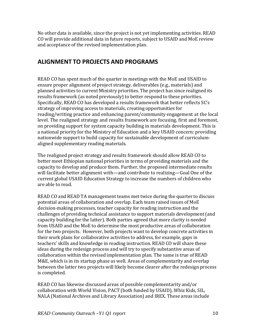No other data is available, since the project is not yet implementing activities. READ CO will provide additional data in future reports, subject to USAID and MoE review and acceptance of the revised implementation plan.

### **ALIGNMENT TO PROJECTS AND PROGRAMS**

READ CO has spent much of the quarter in meetings with the MoE and USAID to ensure proper alignment of project strategy, deliverables (e.g., materials) and planned activities to current Ministry priorities. The project has since realigned its results framework (as noted previously) to better respond to these priorities. Specifically, READ CO has developed a results framework that better reflects SC's strategy of improving access to materials, creating opportunities for reading/writing practice and enhancing parent/community engagement at the local level. The realigned strategy and results framework are focusing, first and foremost, on providing support for system capacity building in materials development. This is a national priority for the Ministry of Education and a key USAID concern: providing nationwide support to build capacity for sustainable development of curriculum‐ aligned supplementary reading materials.

The realigned project strategy and results framework should allow READ CO to better meet Ethiopian national priorities in terms of providing materials and the capacity to develop and produce them. Further, the proposed intermediate results will facilitate better alignment with—and contribute to realizing—Goal One of the current global USAID Education Strategy to increase the numbers of children who are able to read.

READ CO and READ TA management teams met twice during the quarter to discuss potential areas of collaboration and overlap. Each team raised issues of MoE decision‐making processes, teacher capacity for reading instruction and the challenges of providing technical assistance to support materials development(and capacity building for the latter). Both parties agreed that more clarity is needed from USAID and the MoE to determine the most productive areas of collaboration for the two projects. However, both projects want to develop concrete activities in their work plans for collaborative activities to address, for example, gaps in teachers' skills and knowledge in reading instruction. READ CO will share these ideas during the redesign process and will try to specify substantive areas of collaboration within the revised implementation plan. The same is true of READ M&E, which is in its startup phase as well. Areas of complementarity and overlap between the latter two projects will likely become clearer after the redesign process is completed.

READ CO has likewise discussed areas of possible complementarity and/or collaboration with World Vision, PACT (both funded by USAID), Whiz Kids, SIL, NALA (National Archives and Library Association) and IREX. These areas include